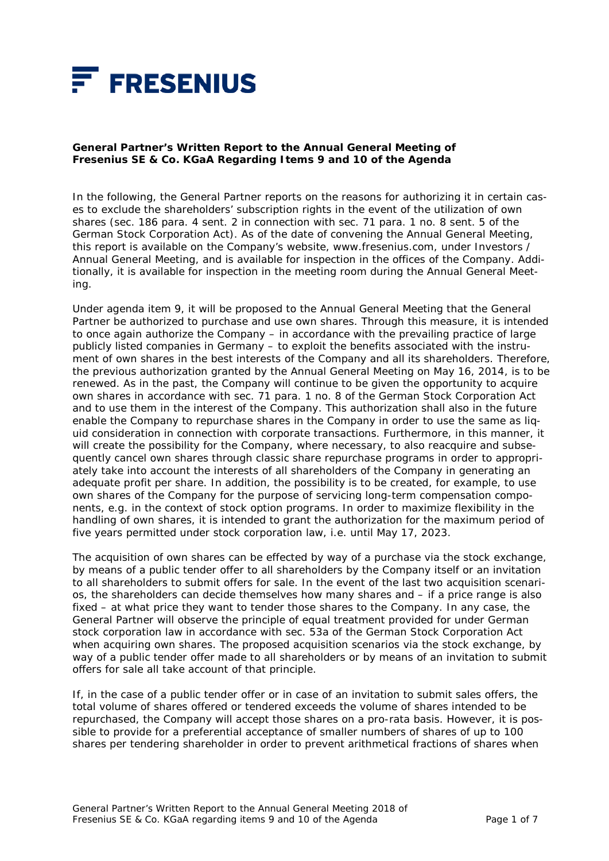

# **General Partner's Written Report to the Annual General Meeting of Fresenius SE & Co. KGaA Regarding Items 9 and 10 of the Agenda**

In the following, the General Partner reports on the reasons for authorizing it in certain cases to exclude the shareholders' subscription rights in the event of the utilization of own shares (sec. 186 para. 4 sent. 2 in connection with sec. 71 para. 1 no. 8 sent. 5 of the German Stock Corporation Act). As of the date of convening the Annual General Meeting, this report is available on the Company's website, www.fresenius.com, under Investors / Annual General Meeting, and is available for inspection in the offices of the Company. Additionally, it is available for inspection in the meeting room during the Annual General Meeting.

Under agenda item 9, it will be proposed to the Annual General Meeting that the General Partner be authorized to purchase and use own shares. Through this measure, it is intended to once again authorize the Company – in accordance with the prevailing practice of large publicly listed companies in Germany – to exploit the benefits associated with the instrument of own shares in the best interests of the Company and all its shareholders. Therefore, the previous authorization granted by the Annual General Meeting on May 16, 2014, is to be renewed. As in the past, the Company will continue to be given the opportunity to acquire own shares in accordance with sec. 71 para. 1 no. 8 of the German Stock Corporation Act and to use them in the interest of the Company. This authorization shall also in the future enable the Company to repurchase shares in the Company in order to use the same as liquid consideration in connection with corporate transactions. Furthermore, in this manner, it will create the possibility for the Company, where necessary, to also reacquire and subsequently cancel own shares through classic share repurchase programs in order to appropriately take into account the interests of all shareholders of the Company in generating an adequate profit per share. In addition, the possibility is to be created, for example, to use own shares of the Company for the purpose of servicing long-term compensation components, e.g. in the context of stock option programs. In order to maximize flexibility in the handling of own shares, it is intended to grant the authorization for the maximum period of five years permitted under stock corporation law, i.e. until May 17, 2023.

The acquisition of own shares can be effected by way of a purchase via the stock exchange, by means of a public tender offer to all shareholders by the Company itself or an invitation to all shareholders to submit offers for sale. In the event of the last two acquisition scenarios, the shareholders can decide themselves how many shares and – if a price range is also fixed – at what price they want to tender those shares to the Company. In any case, the General Partner will observe the principle of equal treatment provided for under German stock corporation law in accordance with sec. 53a of the German Stock Corporation Act when acquiring own shares. The proposed acquisition scenarios via the stock exchange, by way of a public tender offer made to all shareholders or by means of an invitation to submit offers for sale all take account of that principle.

If, in the case of a public tender offer or in case of an invitation to submit sales offers, the total volume of shares offered or tendered exceeds the volume of shares intended to be repurchased, the Company will accept those shares on a pro-rata basis. However, it is possible to provide for a preferential acceptance of smaller numbers of shares of up to 100 shares per tendering shareholder in order to prevent arithmetical fractions of shares when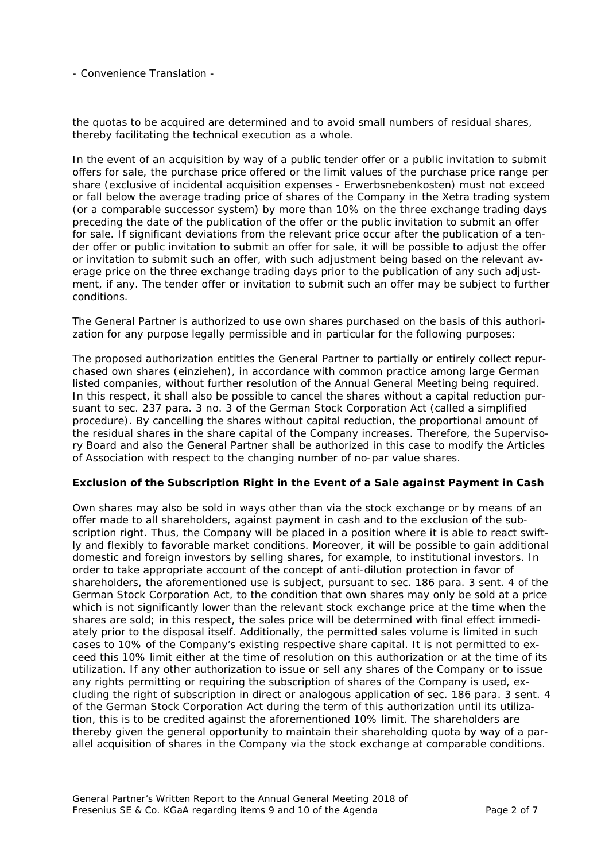the quotas to be acquired are determined and to avoid small numbers of residual shares, thereby facilitating the technical execution as a whole.

In the event of an acquisition by way of a public tender offer or a public invitation to submit offers for sale, the purchase price offered or the limit values of the purchase price range per share (exclusive of incidental acquisition expenses - *Erwerbsnebenkosten*) must not exceed or fall below the average trading price of shares of the Company in the Xetra trading system (or a comparable successor system) by more than 10% on the three exchange trading days preceding the date of the publication of the offer or the public invitation to submit an offer for sale. If significant deviations from the relevant price occur after the publication of a tender offer or public invitation to submit an offer for sale, it will be possible to adjust the offer or invitation to submit such an offer, with such adjustment being based on the relevant average price on the three exchange trading days prior to the publication of any such adjustment, if any. The tender offer or invitation to submit such an offer may be subject to further conditions.

The General Partner is authorized to use own shares purchased on the basis of this authorization for any purpose legally permissible and in particular for the following purposes:

The proposed authorization entitles the General Partner to partially or entirely collect repurchased own shares (*einziehen*), in accordance with common practice among large German listed companies, without further resolution of the Annual General Meeting being required. In this respect, it shall also be possible to cancel the shares without a capital reduction pursuant to sec. 237 para. 3 no. 3 of the German Stock Corporation Act (called a simplified procedure). By cancelling the shares without capital reduction, the proportional amount of the residual shares in the share capital of the Company increases. Therefore, the Supervisory Board and also the General Partner shall be authorized in this case to modify the Articles of Association with respect to the changing number of no-par value shares.

### *Exclusion of the Subscription Right in the Event of a Sale against Payment in Cash*

Own shares may also be sold in ways other than via the stock exchange or by means of an offer made to all shareholders, against payment in cash and to the exclusion of the subscription right. Thus, the Company will be placed in a position where it is able to react swiftly and flexibly to favorable market conditions. Moreover, it will be possible to gain additional domestic and foreign investors by selling shares, for example, to institutional investors. In order to take appropriate account of the concept of anti-dilution protection in favor of shareholders, the aforementioned use is subject, pursuant to sec. 186 para. 3 sent. 4 of the German Stock Corporation Act, to the condition that own shares may only be sold at a price which is not significantly lower than the relevant stock exchange price at the time when the shares are sold; in this respect, the sales price will be determined with final effect immediately prior to the disposal itself. Additionally, the permitted sales volume is limited in such cases to 10% of the Company's existing respective share capital. It is not permitted to exceed this 10% limit either at the time of resolution on this authorization or at the time of its utilization. If any other authorization to issue or sell any shares of the Company or to issue any rights permitting or requiring the subscription of shares of the Company is used, excluding the right of subscription in direct or analogous application of sec. 186 para. 3 sent. 4 of the German Stock Corporation Act during the term of this authorization until its utilization, this is to be credited against the aforementioned 10% limit. The shareholders are thereby given the general opportunity to maintain their shareholding quota by way of a parallel acquisition of shares in the Company via the stock exchange at comparable conditions.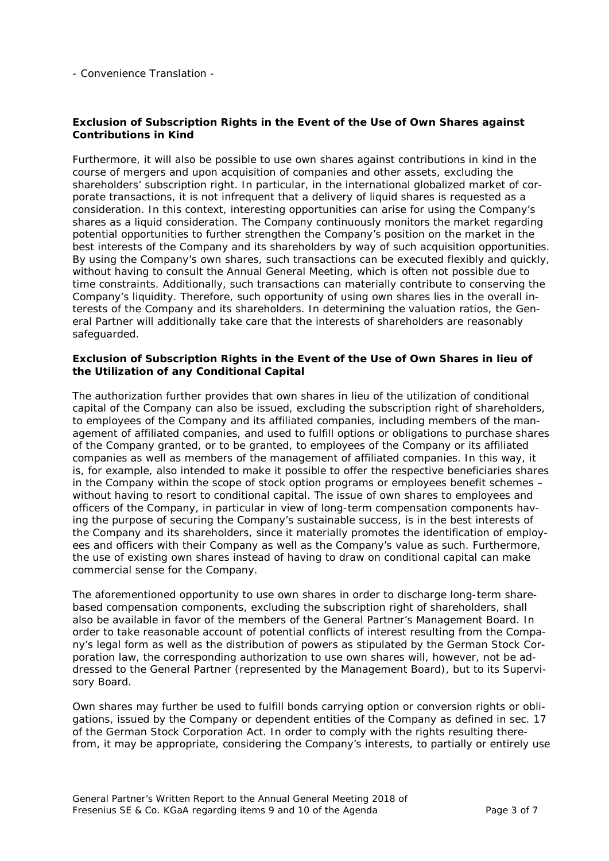# *Exclusion of Subscription Rights in the Event of the Use of Own Shares against Contributions in Kind*

Furthermore, it will also be possible to use own shares against contributions in kind in the course of mergers and upon acquisition of companies and other assets, excluding the shareholders' subscription right. In particular, in the international globalized market of corporate transactions, it is not infrequent that a delivery of liquid shares is requested as a consideration. In this context, interesting opportunities can arise for using the Company's shares as a liquid consideration. The Company continuously monitors the market regarding potential opportunities to further strengthen the Company's position on the market in the best interests of the Company and its shareholders by way of such acquisition opportunities. By using the Company's own shares, such transactions can be executed flexibly and quickly, without having to consult the Annual General Meeting, which is often not possible due to time constraints. Additionally, such transactions can materially contribute to conserving the Company's liquidity. Therefore, such opportunity of using own shares lies in the overall interests of the Company and its shareholders. In determining the valuation ratios, the General Partner will additionally take care that the interests of shareholders are reasonably safeguarded.

### *Exclusion of Subscription Rights in the Event of the Use of Own Shares in lieu of the Utilization of any Conditional Capital*

The authorization further provides that own shares in lieu of the utilization of conditional capital of the Company can also be issued, excluding the subscription right of shareholders, to employees of the Company and its affiliated companies, including members of the management of affiliated companies, and used to fulfill options or obligations to purchase shares of the Company granted, or to be granted, to employees of the Company or its affiliated companies as well as members of the management of affiliated companies. In this way, it is, for example, also intended to make it possible to offer the respective beneficiaries shares in the Company within the scope of stock option programs or employees benefit schemes – without having to resort to conditional capital. The issue of own shares to employees and officers of the Company, in particular in view of long-term compensation components having the purpose of securing the Company's sustainable success, is in the best interests of the Company and its shareholders, since it materially promotes the identification of employees and officers with their Company as well as the Company's value as such. Furthermore, the use of existing own shares instead of having to draw on conditional capital can make commercial sense for the Company.

The aforementioned opportunity to use own shares in order to discharge long-term sharebased compensation components, excluding the subscription right of shareholders, shall also be available in favor of the members of the General Partner's Management Board. In order to take reasonable account of potential conflicts of interest resulting from the Company's legal form as well as the distribution of powers as stipulated by the German Stock Corporation law, the corresponding authorization to use own shares will, however, not be addressed to the General Partner (represented by the Management Board), but to its Supervisory Board.

Own shares may further be used to fulfill bonds carrying option or conversion rights or obligations, issued by the Company or dependent entities of the Company as defined in sec. 17 of the German Stock Corporation Act. In order to comply with the rights resulting therefrom, it may be appropriate, considering the Company's interests, to partially or entirely use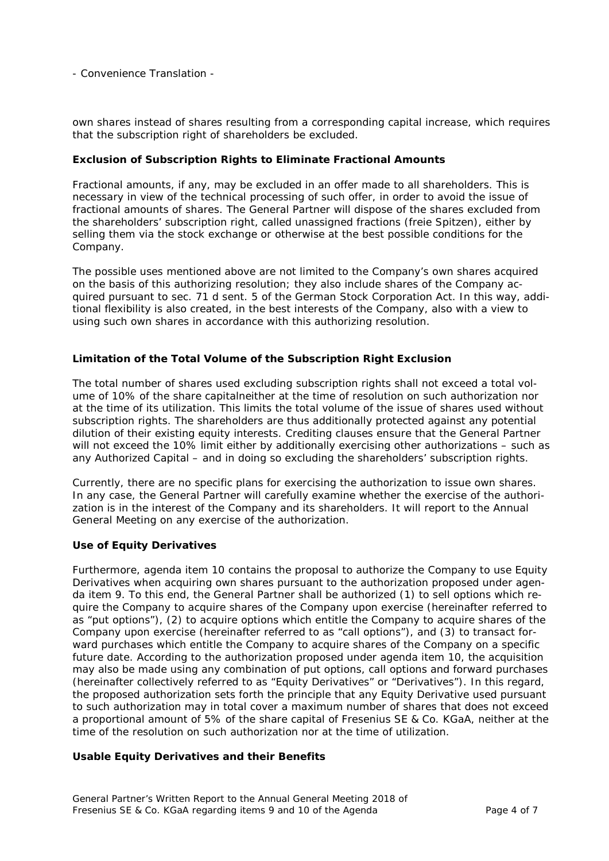own shares instead of shares resulting from a corresponding capital increase, which requires that the subscription right of shareholders be excluded.

### *Exclusion of Subscription Rights to Eliminate Fractional Amounts*

Fractional amounts, if any, may be excluded in an offer made to all shareholders. This is necessary in view of the technical processing of such offer, in order to avoid the issue of fractional amounts of shares. The General Partner will dispose of the shares excluded from the shareholders' subscription right, called unassigned fractions (*freie Spitzen*), either by selling them via the stock exchange or otherwise at the best possible conditions for the Company.

The possible uses mentioned above are not limited to the Company's own shares acquired on the basis of this authorizing resolution; they also include shares of the Company acquired pursuant to sec. 71 d sent. 5 of the German Stock Corporation Act. In this way, additional flexibility is also created, in the best interests of the Company, also with a view to using such own shares in accordance with this authorizing resolution.

# *Limitation of the Total Volume of the Subscription Right Exclusion*

The total number of shares used excluding subscription rights shall not exceed a total volume of 10% of the share capitalneither at the time of resolution on such authorization nor at the time of its utilization. This limits the total volume of the issue of shares used without subscription rights. The shareholders are thus additionally protected against any potential dilution of their existing equity interests. Crediting clauses ensure that the General Partner will not exceed the 10% limit either by additionally exercising other authorizations – such as any Authorized Capital – and in doing so excluding the shareholders' subscription rights.

Currently, there are no specific plans for exercising the authorization to issue own shares. In any case, the General Partner will carefully examine whether the exercise of the authorization is in the interest of the Company and its shareholders. It will report to the Annual General Meeting on any exercise of the authorization.

### *Use of Equity Derivatives*

Furthermore, agenda item 10 contains the proposal to authorize the Company to use Equity Derivatives when acquiring own shares pursuant to the authorization proposed under agenda item 9. To this end, the General Partner shall be authorized (1) to sell options which require the Company to acquire shares of the Company upon exercise (hereinafter referred to as "put options"), (2) to acquire options which entitle the Company to acquire shares of the Company upon exercise (hereinafter referred to as "call options"), and (3) to transact forward purchases which entitle the Company to acquire shares of the Company on a specific future date. According to the authorization proposed under agenda item 10, the acquisition may also be made using any combination of put options, call options and forward purchases (hereinafter collectively referred to as "Equity Derivatives" or "Derivatives"). In this regard, the proposed authorization sets forth the principle that any Equity Derivative used pursuant to such authorization may in total cover a maximum number of shares that does not exceed a proportional amount of 5% of the share capital of Fresenius SE & Co. KGaA, neither at the time of the resolution on such authorization nor at the time of utilization.

### *Usable Equity Derivatives and their Benefits*

General Partner's Written Report to the Annual General Meeting 2018 of Fresenius SE & Co. KGaA regarding items 9 and 10 of the Agenda Page 4 of 7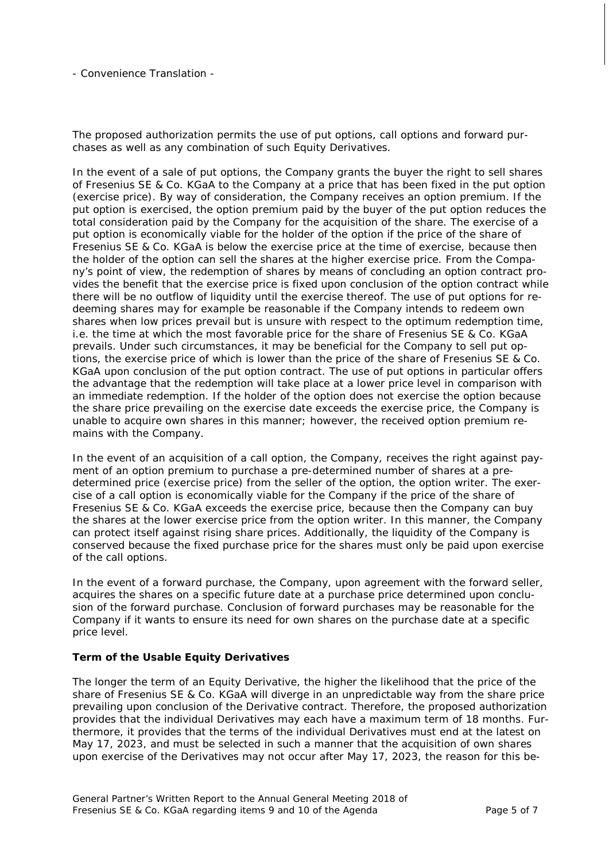The proposed authorization permits the use of put options, call options and forward purchases as well as any combination of such Equity Derivatives.

In the event of a sale of put options, the Company grants the buyer the right to sell shares of Fresenius SE & Co. KGaA to the Company at a price that has been fixed in the put option (exercise price). By way of consideration, the Company receives an option premium. If the put option is exercised, the option premium paid by the buyer of the put option reduces the total consideration paid by the Company for the acquisition of the share. The exercise of a put option is economically viable for the holder of the option if the price of the share of Fresenius SE & Co. KGaA is below the exercise price at the time of exercise, because then the holder of the option can sell the shares at the higher exercise price. From the Company's point of view, the redemption of shares by means of concluding an option contract provides the benefit that the exercise price is fixed upon conclusion of the option contract while there will be no outflow of liquidity until the exercise thereof. The use of put options for redeeming shares may for example be reasonable if the Company intends to redeem own shares when low prices prevail but is unsure with respect to the optimum redemption time, i.e. the time at which the most favorable price for the share of Fresenius SE & Co. KGaA prevails. Under such circumstances, it may be beneficial for the Company to sell put options, the exercise price of which is lower than the price of the share of Fresenius SE & Co. KGaA upon conclusion of the put option contract. The use of put options in particular offers the advantage that the redemption will take place at a lower price level in comparison with an immediate redemption. If the holder of the option does not exercise the option because the share price prevailing on the exercise date exceeds the exercise price, the Company is unable to acquire own shares in this manner; however, the received option premium remains with the Company.

In the event of an acquisition of a call option, the Company, receives the right against payment of an option premium to purchase a pre-determined number of shares at a predetermined price (exercise price) from the seller of the option, the option writer. The exercise of a call option is economically viable for the Company if the price of the share of Fresenius SE & Co. KGaA exceeds the exercise price, because then the Company can buy the shares at the lower exercise price from the option writer. In this manner, the Company can protect itself against rising share prices. Additionally, the liquidity of the Company is conserved because the fixed purchase price for the shares must only be paid upon exercise of the call options.

In the event of a forward purchase, the Company, upon agreement with the forward seller, acquires the shares on a specific future date at a purchase price determined upon conclusion of the forward purchase. Conclusion of forward purchases may be reasonable for the Company if it wants to ensure its need for own shares on the purchase date at a specific price level.

### *Term of the Usable Equity Derivatives*

The longer the term of an Equity Derivative, the higher the likelihood that the price of the share of Fresenius SE & Co. KGaA will diverge in an unpredictable way from the share price prevailing upon conclusion of the Derivative contract. Therefore, the proposed authorization provides that the individual Derivatives may each have a maximum term of 18 months. Furthermore, it provides that the terms of the individual Derivatives must end at the latest on May 17, 2023, and must be selected in such a manner that the acquisition of own shares upon exercise of the Derivatives may not occur after May 17, 2023, the reason for this be-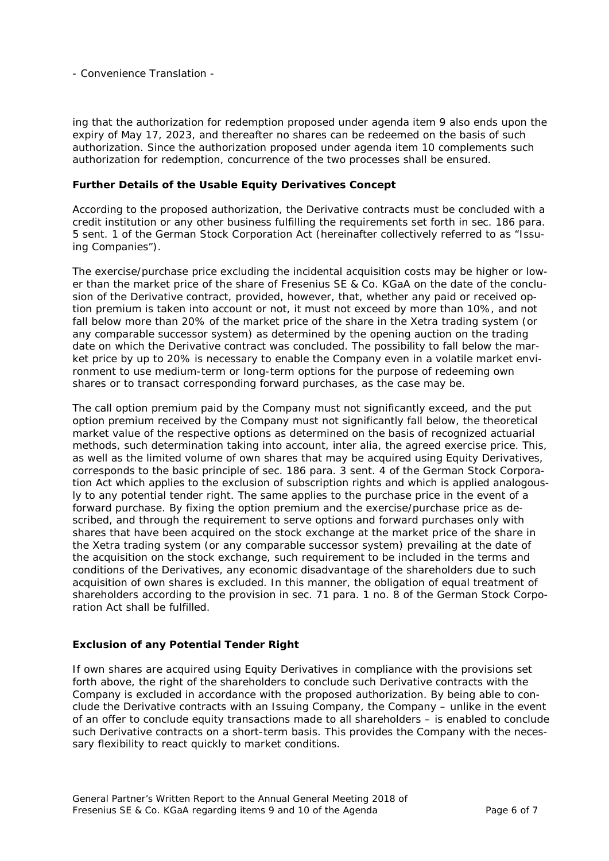ing that the authorization for redemption proposed under agenda item 9 also ends upon the expiry of May 17, 2023, and thereafter no shares can be redeemed on the basis of such authorization. Since the authorization proposed under agenda item 10 complements such authorization for redemption, concurrence of the two processes shall be ensured.

### *Further Details of the Usable Equity Derivatives Concept*

According to the proposed authorization, the Derivative contracts must be concluded with a credit institution or any other business fulfilling the requirements set forth in sec. 186 para. 5 sent. 1 of the German Stock Corporation Act (hereinafter collectively referred to as "Issuing Companies").

The exercise/purchase price excluding the incidental acquisition costs may be higher or lower than the market price of the share of Fresenius SE & Co. KGaA on the date of the conclusion of the Derivative contract, provided, however, that, whether any paid or received option premium is taken into account or not, it must not exceed by more than 10%, and not fall below more than 20% of the market price of the share in the Xetra trading system (or any comparable successor system) as determined by the opening auction on the trading date on which the Derivative contract was concluded. The possibility to fall below the market price by up to 20% is necessary to enable the Company even in a volatile market environment to use medium-term or long-term options for the purpose of redeeming own shares or to transact corresponding forward purchases, as the case may be.

The call option premium paid by the Company must not significantly exceed, and the put option premium received by the Company must not significantly fall below, the theoretical market value of the respective options as determined on the basis of recognized actuarial methods, such determination taking into account, *inter alia*, the agreed exercise price. This, as well as the limited volume of own shares that may be acquired using Equity Derivatives, corresponds to the basic principle of sec. 186 para. 3 sent. 4 of the German Stock Corporation Act which applies to the exclusion of subscription rights and which is applied analogously to any potential tender right. The same applies to the purchase price in the event of a forward purchase. By fixing the option premium and the exercise/purchase price as described, and through the requirement to serve options and forward purchases only with shares that have been acquired on the stock exchange at the market price of the share in the Xetra trading system (or any comparable successor system) prevailing at the date of the acquisition on the stock exchange, such requirement to be included in the terms and conditions of the Derivatives, any economic disadvantage of the shareholders due to such acquisition of own shares is excluded. In this manner, the obligation of equal treatment of shareholders according to the provision in sec. 71 para. 1 no. 8 of the German Stock Corporation Act shall be fulfilled.

### *Exclusion of any Potential Tender Right*

If own shares are acquired using Equity Derivatives in compliance with the provisions set forth above, the right of the shareholders to conclude such Derivative contracts with the Company is excluded in accordance with the proposed authorization. By being able to conclude the Derivative contracts with an Issuing Company, the Company – unlike in the event of an offer to conclude equity transactions made to all shareholders – is enabled to conclude such Derivative contracts on a short-term basis. This provides the Company with the necessary flexibility to react quickly to market conditions.